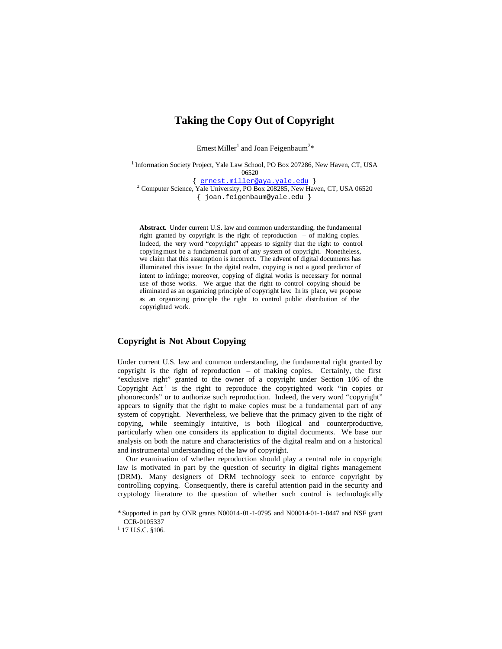# **Taking the Copy Out of Copyright**

Ernest Miller<sup>1</sup> and Joan Feigenbaum<sup>2</sup>∗

<sup>1</sup> Information Society Project, Yale Law School, PO Box 207286, New Haven, CT, USA 06520 { ernest.miller@aya.yale.edu } <sup>2</sup> Computer Science, Yale University, PO Box 208285, New Haven, CT, USA 06520

{ joan.feigenbaum@yale.edu }

**Abstract.** Under current U.S. law and common understanding, the fundamental right granted by copyright is the right of reproduction – of making copies. Indeed, the very word "copyright" appears to signify that the right to control copying must be a fundamental part of any system of copyright. Nonetheless, we claim that this assumption is incorrect. The advent of digital documents has illuminated this issue: In the dgital realm, copying is not a good predictor of intent to infringe; moreover, copying of digital works is necessary for normal use of those works. We argue that the right to control copying should be eliminated as an organizing principle of copyright law. In its place, we propose as an organizing principle the right to control public distribution of the copyrighted work.

#### **Copyright is Not About Copying**

Under current U.S. law and common understanding, the fundamental right granted by copyright is the right of reproduction  $-$  of making copies. Certainly, the first "exclusive right" granted to the owner of a copyright under Section 106 of the Copyright Act<sup>1</sup> is the right to reproduce the copyrighted work "in copies or phonorecords" or to authorize such reproduction. Indeed, the very word "copyright" appears to signify that the right to make copies must be a fundamental part of any system of copyright. Nevertheless, we believe that the primacy given to the right of copying, while seemingly intuitive, is both illogical and counterproductive, particularly when one considers its application to digital documents. We base our analysis on both the nature and characteristics of the digital realm and on a historical and instrumental understanding of the law of copyright.

Our examination of whether reproduction should play a central role in copyright law is motivated in part by the question of security in digital rights management (DRM). Many designers of DRM technology seek to enforce copyright by controlling copying. Consequently, there is careful attention paid in the security and cryptology literature to the question of whether such control is technologically

 ∗ Supported in part by ONR grants N00014-01-1-0795 and N00014-01-1-0447 and NSF grant CCR-0105337

<sup>&</sup>lt;sup>1</sup> 17 U.S.C. §106.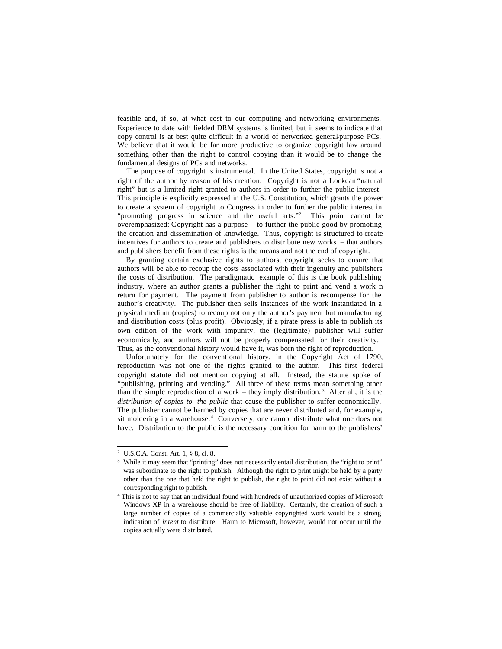feasible and, if so, at what cost to our computing and networking environments. Experience to date with fielded DRM systems is limited, but it seems to indicate that copy control is at best quite difficult in a world of networked general-purpose PCs. We believe that it would be far more productive to organize copyright law around something other than the right to control copying than it would be to change the fundamental designs of PCs and networks.

 The purpose of copyright is instrumental. In the United States, copyright is not a right of the author by reason of his creation. Copyright is not a Lockean "natural right" but is a limited right granted to authors in order to further the public interest. This principle is explicitly expressed in the U.S. Constitution, which grants the power to create a system of copyright to Congress in order to further the public interest in "promoting progress in science and the useful arts."<sup>2</sup> This point cannot be overemphasized: Copyright has a purpose – to further the public good by promoting the creation and dissemination of knowledge. Thus, copyright is structured to create incentives for authors to create and publishers to distribute new works – that authors and publishers benefit from these rights is the means and not the end of copyright.

By granting certain exclusive rights to authors, copyright seeks to ensure that authors will be able to recoup the costs associated with their ingenuity and publishers the costs of distribution. The paradigmatic example of this is the book publishing industry, where an author grants a publisher the right to print and vend a work in return for payment. The payment from publisher to author is recompense for the author's creativity. The publisher then sells instances of the work instantiated in a physical medium (copies) to recoup not only the author's payment but manufacturing and distribution costs (plus profit). Obviously, if a pirate press is able to publish its own edition of the work with impunity, the (legitimate) publisher will suffer economically, and authors will not be properly compensated for their creativity. Thus, as the conventional history would have it, was born the right of reproduction.

Unfortunately for the conventional history, in the Copyright Act of 1790, reproduction was not one of the rights granted to the author. This first federal copyright statute did not mention copying at all. Instead, the statute spoke of "publishing, printing and vending." All three of these terms mean something other than the simple reproduction of a work – they imply distribution.<sup>3</sup> After all, it is the *distribution of copies to the public* that cause the publisher to suffer economically. The publisher cannot be harmed by copies that are never distributed and, for example, sit moldering in a warehouse.<sup>4</sup> Conversely, one cannot distribute what one does not have. Distribution to the public is the necessary condition for harm to the publishers'

 2 U.S.C.A. Const. Art. 1, § 8, cl. 8.

<sup>&</sup>lt;sup>3</sup> While it may seem that "printing" does not necessarily entail distribution, the "right to print" was subordinate to the right to publish. Although the right to print might be held by a party other than the one that held the right to publish, the right to print did not exist without a corresponding right to publish.

<sup>&</sup>lt;sup>4</sup> This is not to say that an individual found with hundreds of unauthorized copies of Microsoft Windows XP in a warehouse should be free of liability. Certainly, the creation of such a large number of copies of a commercially valuable copyrighted work would be a strong indication of *intent* to distribute. Harm to Microsoft, however, would not occur until the copies actually were distributed.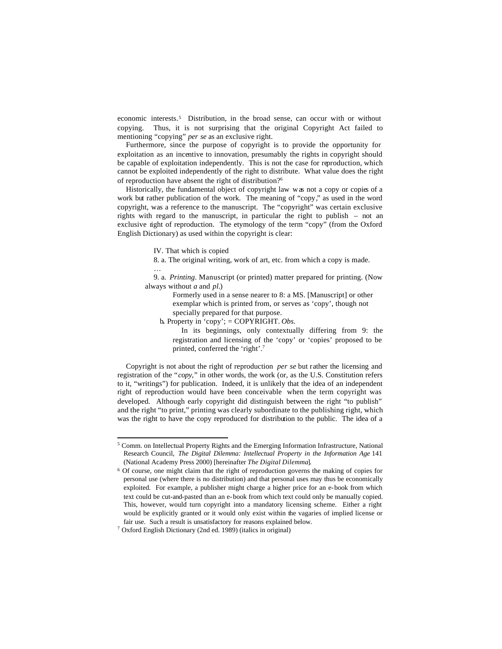economic interests.<sup>5</sup> Distribution, in the broad sense, can occur with or without copying. Thus, it is not surprising that the original Copyright Act failed to mentioning "copying" *per se* as an exclusive right.

Furthermore, since the purpose of copyright is to provide the opportunity for exploitation as an incentive to innovation, presumably the rights in copyright should be capable of exploitation independently. This is not the case for reproduction, which cannot be exploited independently of the right to distribute. What value does the right of reproduction have absent the right of distribution?<sup>6</sup>

Historically, the fundamental object of copyright law was not a copy or copies of a work but rather publication of the work. The meaning of "copy," as used in the word copyright, was a reference to the manuscript. The "copyright" was certain exclusive rights with regard to the manuscript, in particular the right to publish – not an exclusive right of reproduction. The etymology of the term "copy" (from the Oxford English Dictionary) as used within the copyright is clear:

IV. That which is copied

…

l

8. a. The original writing, work of art, etc. from which a copy is made.

9. a. *Printing*. Manuscript (or printed) matter prepared for printing. (Now always without *a* and *pl.*)

> Formerly used in a sense nearer to 8: a MS. [Manuscript] or other exemplar which is printed from, or serves as 'copy', though not specially prepared for that purpose.

b**.** Property in 'copy'; = COPYRIGHT. *Obs.*

In its beginnings, only contextually differing from 9: the registration and licensing of the 'copy' or 'copies' proposed to be printed, conferred the 'right'.<sup>7</sup>

Copyright is not about the right of reproduction *per se* but rather the licensing and registration of the "*copy,*" in other words, the work (or, as the U.S. Constitution refers to it, "writings") for publication. Indeed, it is unlikely that the idea of an independent right of reproduction would have been conceivable when the term copyright was developed. Although early copyright did distinguish between the right "to publish" and the right "to print," printing was clearly subordinate to the publishing right, which was the right to have the copy reproduced for distribution to the public. The idea of a

<sup>&</sup>lt;sup>5</sup> Comm. on Intellectual Property Rights and the Emerging Information Infrastructure, National Research Council, *The Digital Dilemma: Intellectual Property in the Information Age* 141 (National Academy Press 2000) [hereinafter *The Digital Dilemma*].

<sup>6</sup> Of course, one might claim that the right of reproduction governs the making of copies for personal use (where there is no distribution) and that personal uses may thus be economically exploited. For example, a publisher might charge a higher price for an e-book from which text could be cut-and-pasted than an e-book from which text could only be manually copied. This, however, would turn copyright into a mandatory licensing scheme. Either a right would be explicitly granted or it would only exist within the vagaries of implied license or fair use. Such a result is unsatisfactory for reasons explained below.

<sup>7</sup> Oxford English Dictionary (2nd ed. 1989) (italics in original)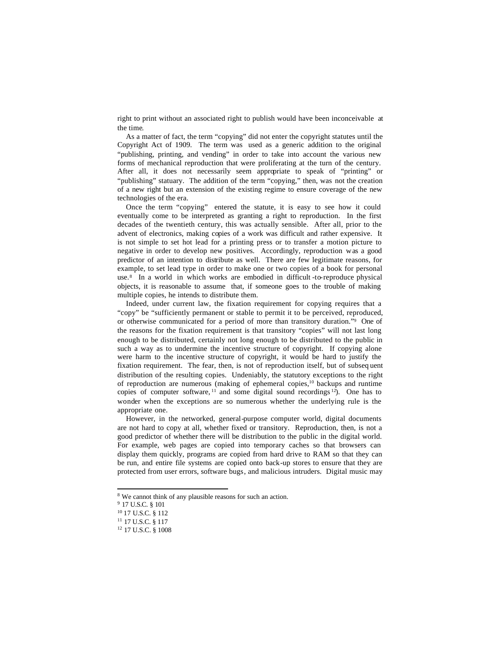right to print without an associated right to publish would have been inconceivable at the time.

As a matter of fact, the term "copying" did not enter the copyright statutes until the Copyright Act of 1909. The term was used as a generic addition to the original "publishing, printing, and vending" in order to take into account the various new forms of mechanical reproduction that were proliferating at the turn of the century. After all, it does not necessarily seem appropriate to speak of "printing" or "publishing" statuary. The addition of the term "copying," then, was not the creation of a new right but an extension of the existing regime to ensure coverage of the new technologies of the era.

Once the term "copying" entered the statute, it is easy to see how it could eventually come to be interpreted as granting a right to reproduction. In the first decades of the twentieth century, this was actually sensible. After all, prior to the advent of electronics, making copies of a work was difficult and rather expensive. It is not simple to set hot lead for a printing press or to transfer a motion picture to negative in order to develop new positives. Accordingly, reproduction was a good predictor of an intention to distribute as well. There are few legitimate reasons, for example, to set lead type in order to make one or two copies of a book for personal use.<sup>8</sup> In a world in which works are embodied in difficult -to-reproduce physical objects, it is reasonable to assume that, if someone goes to the trouble of making multiple copies, he intends to distribute them.

Indeed, under current law, the fixation requirement for copying requires that a "copy" be "sufficiently permanent or stable to permit it to be perceived, reproduced, or otherwise communicated for a period of more than transitory duration."<sup>9</sup> One of the reasons for the fixation requirement is that transitory "copies" will not last long enough to be distributed, certainly not long enough to be distributed to the public in such a way as to undermine the incentive structure of copyright. If copying alone were harm to the incentive structure of copyright, it would be hard to justify the fixation requirement. The fear, then, is not of reproduction itself, but of subseq uent distribution of the resulting copies. Undeniably, the statutory exceptions to the right of reproduction are numerous (making of ephemeral copies,<sup>10</sup> backups and runtime copies of computer software,  $11$  and some digital sound recordings  $12$ ). One has to wonder when the exceptions are so numerous whether the underlying rule is the appropriate one.

However, in the networked, general-purpose computer world, digital documents are not hard to copy at all, whether fixed or transitory. Reproduction, then, is not a good predictor of whether there will be distribution to the public in the digital world. For example, web pages are copied into temporary caches so that browsers can display them quickly, programs are copied from hard drive to RAM so that they can be run, and entire file systems are copied onto back-up stores to ensure that they are protected from user errors, software bugs, and malicious intruders. Digital music may

<sup>&</sup>lt;sup>8</sup> We cannot think of any plausible reasons for such an action.

<sup>9</sup> 17 U.S.C. § 101

<sup>10</sup> 17 U.S.C. § 112

<sup>11</sup> 17 U.S.C. § 117

<sup>12</sup> 17 U.S.C. § 1008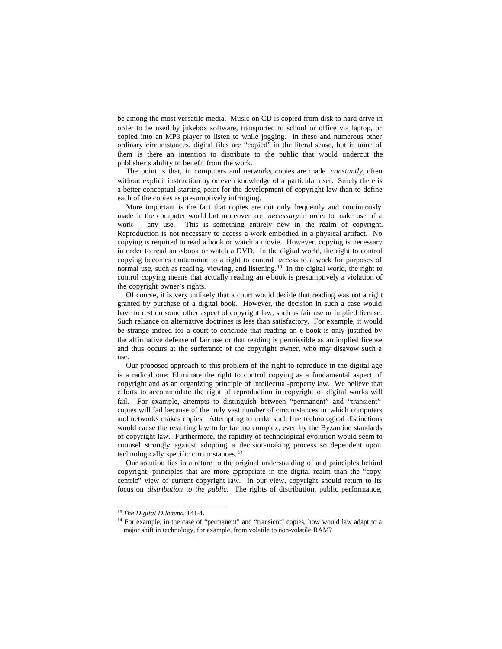be among the most versatile media. Music on CD is copied from disk to hard drive in order to be used by jukebox software, transported to school or office via laptop, or copied into an MP3 player to listen to while jogging. In these and numerous other ordinary circumstances, digital files are "copied" in the literal sense, but in none of them is there an intention to distribute to the public that would undercut the publisher's ability to benefit from the work.

The point is that, in computers and networks, copies are made *constantly*, often without explicit instruction by or even knowledge of a particular user. Surely there is a better conceptual starting point for the development of copyright law than to define each of the copies as presumptively infringing.

More important is the fact that copies are not only frequently and continuously made in the computer world but moreover are *necessary* in order to make use of a work -- any use. This is something entirely new in the realm of copyright. Reproduction is not necessary to access a work embodied in a physical artifact. No copying is required to read a book or watch a movie. However, copying is necessary in order to read an e-book or watch a DVD. In the digital world, the right to control copying becomes tantamount to a right to control *access* to a work for purposes of normal use, such as reading, viewing, and listening. <sup>13</sup> In the digital world, the right to control copying means that actually reading an e-book is presumptively a violation of the copyright owner's rights.

Of course, it is very unlikely that a court would decide that reading was not a right granted by purchase of a digital book. However, the decision in such a case would have to rest on some other aspect of copyright law, such as fair use or implied license. Such reliance on alternative doctrines is less than satisfactory. For example, it would be strange indeed for a court to conclude that reading an e-book is only justified by the affirmative defense of fair use or that reading is permissible as an implied license and thus occurs at the sufferance of the copyright owner, who may disavow such a use.

Our proposed approach to this problem of the right to reproduce in the digital age is a radical one: Eliminate the right to control copying as a fundamental aspect of copyright and as an organizing principle of intellectual-property law. We believe that efforts to accommodate the right of reproduction in copyright of digital works will fail. For example, attempts to distinguish between "permanent" and "transient" copies will fail because of the truly vast number of circumstances in which computers and networks makes copies. Attempting to make such fine technological distinctions would cause the resulting law to be far too complex, even by the Byzantine standards of copyright law. Furthermore, the rapidity of technological evolution would seem to counsel strongly against adopting a decision-making process so dependent upon technologically specific circumstances. <sup>14</sup>

Our solution lies in a return to the original understanding of and principles behind copyright, principles that are more appropriate in the digital realm than the "copycentric" view of current copyright law. In our view, copyright should return to its focus on *distribution to the public*. The rights of distribution, public performance,

<sup>13</sup> *The Digital Dilemma*, 141-4.

<sup>&</sup>lt;sup>14</sup> For example, in the case of "permanent" and "transient" copies, how would law adapt to a major shift in technology, for example, from volatile to non-volatile RAM?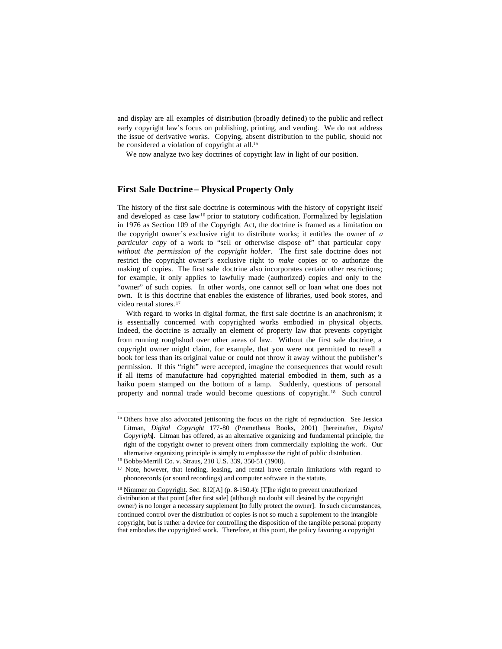and display are all examples of distribution (broadly defined) to the public and reflect early copyright law's focus on publishing, printing, and vending. We do not address the issue of derivative works. Copying, absent distribution to the public, should not be considered a violation of copyright at all.<sup>15</sup>

We now analyze two key doctrines of copyright law in light of our position.

### **First Sale Doctrine – Physical Property Only**

The history of the first sale doctrine is coterminous with the history of copyright itself and developed as case law<sup>16</sup> prior to statutory codification. Formalized by legislation in 1976 as Section 109 of the Copyright Act, the doctrine is framed as a limitation on the copyright owner's exclusive right to distribute works; it entitles the owner of *a particular copy* of a work to "sell or otherwise dispose of" that particular copy *without the permission of the copyright holder*. The first sale doctrine does not restrict the copyright owner's exclusive right to *make* copies or to authorize the making of copies. The first sale doctrine also incorporates certain other restrictions; for example, it only applies to lawfully made (authorized) copies and only to the "owner" of such copies. In other words, one cannot sell or loan what one does not own. It is this doctrine that enables the existence of libraries, used book stores, and video rental stores. <sup>17</sup>

With regard to works in digital format, the first sale doctrine is an anachronism; it is essentially concerned with copyrighted works embodied in physical objects. Indeed, the doctrine is actually an element of property law that prevents copyright from running roughshod over other areas of law. Without the first sale doctrine, a copyright owner might claim, for example, that you were not permitted to resell a book for less than its original value or could not throw it away without the publisher's permission. If this "right" were accepted, imagine the consequences that would result if all items of manufacture had copyrighted material embodied in them, such as a haiku poem stamped on the bottom of a lamp. Suddenly, questions of personal property and normal trade would become questions of copyright. <sup>18</sup> Such control

<sup>&</sup>lt;sup>15</sup> Others have also advocated jettisoning the focus on the right of reproduction. See Jessica Litman, *Digital Copyright* 177-80 (Prometheus Books, 2001) [hereinafter, *Digital Copyright*]. Litman has offered, as an alternative organizing and fundamental principle, the right of the copyright owner to prevent others from commercially exploiting the work. Our alternative organizing principle is simply to emphasize the right of public distribution.

<sup>16</sup> Bobbs-Merrill Co. v. Straus, 210 U.S. 339, 350-51 (1908).

<sup>&</sup>lt;sup>17</sup> Note, however, that lending, leasing, and rental have certain limitations with regard to phonorecords (or sound recordings) and computer software in the statute.

<sup>&</sup>lt;sup>18</sup> Nimmer on Copyright. Sec. 8.12[A] (p. 8-150.4): [T]he right to prevent unauthorized distribution at that point [after first sale] (although no doubt still desired by the copyright owner) is no longer a necessary supplement [to fully protect the owner]. In such circumstances, continued control over the distribution of copies is not so much a supplement to the intangible copyright, but is rather a device for controlling the disposition of the tangible personal property that embodies the copyrighted work. Therefore, at this point, the policy favoring a copyright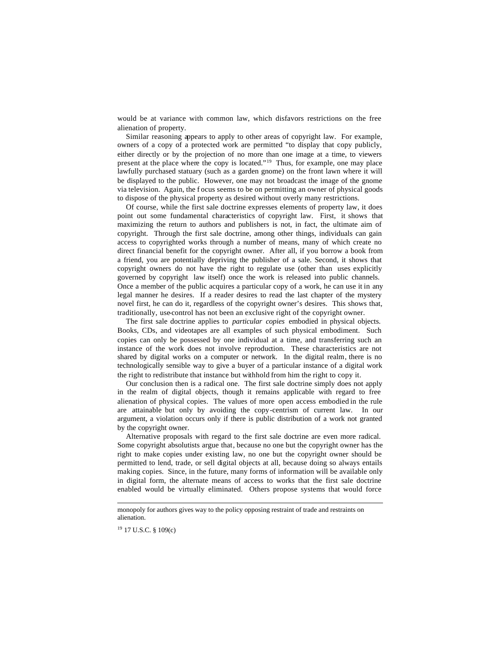would be at variance with common law, which disfavors restrictions on the free alienation of property.

Similar reasoning appears to apply to other areas of copyright law. For example, owners of a copy of a protected work are permitted "to display that copy publicly, either directly or by the projection of no more than one image at a time, to viewers present at the place where the copy is located." <sup>19</sup> Thus, for example, one may place lawfully purchased statuary (such as a garden gnome) on the front lawn where it will be displayed to the public. However, one may not broadcast the image of the gnome via television. Again, the f ocus seems to be on permitting an owner of physical goods to dispose of the physical property as desired without overly many restrictions.

Of course, while the first sale doctrine expresses elements of property law, it does point out some fundamental characteristics of copyright law. First, it shows that maximizing the return to authors and publishers is not, in fact, the ultimate aim of copyright. Through the first sale doctrine, among other things, individuals can gain access to copyrighted works through a number of means, many of which create no direct financial benefit for the copyright owner. After all, if you borrow a book from a friend, you are potentially depriving the publisher of a sale. Second, it shows that copyright owners do not have the right to regulate use (other than uses explicitly governed by copyright law itself) once the work is released into public channels. Once a member of the public acquires a particular copy of a work, he can use it in any legal manner he desires. If a reader desires to read the last chapter of the mystery novel first, he can do it, regardless of the copyright owner's desires. This shows that, traditionally, use-control has not been an exclusive right of the copyright owner.

The first sale doctrine applies to *particular copies* embodied in physical objects. Books, CDs, and videotapes are all examples of such physical embodiment. Such copies can only be possessed by one individual at a time, and transferring such an instance of the work does not involve reproduction. These characteristics are not shared by digital works on a computer or network. In the digital realm, there is no technologically sensible way to give a buyer of a particular instance of a digital work the right to redistribute that instance but withhold from him the right to copy it.

Our conclusion then is a radical one. The first sale doctrine simply does not apply in the realm of digital objects, though it remains applicable with regard to free alienation of physical copies. The values of more open access embodied in the rule are attainable but only by avoiding the copy-centrism of current law. In our argument, a violation occurs only if there is public distribution of a work not granted by the copyright owner.

Alternative proposals with regard to the first sale doctrine are even more radical. Some copyright absolutists argue that, because no one but the copyright owner has the right to make copies under existing law, no one but the copyright owner should be permitted to lend, trade, or sell digital objects at all, because doing so always entails making copies. Since, in the future, many forms of information will be available only in digital form, the alternate means of access to works that the first sale doctrine enabled would be virtually eliminated. Others propose systems that would force

19 17 U.S.C. § 109(c)

monopoly for authors gives way to the policy opposing restraint of trade and restraints on alienation.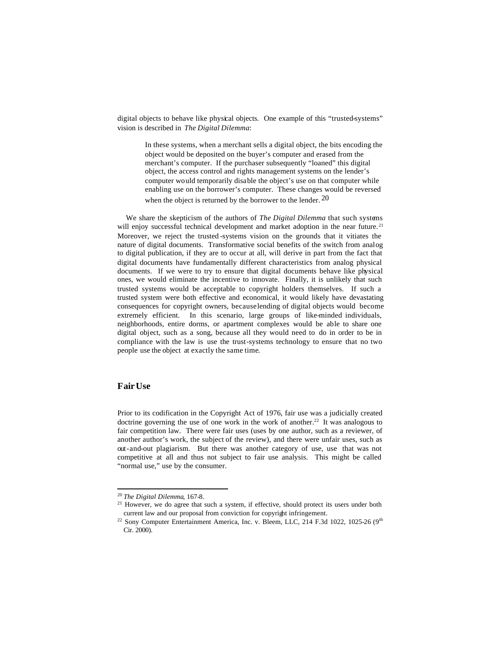digital objects to behave like physical objects. One example of this "trusted-systems" vision is described in *The Digital Dilemma*:

> In these systems, when a merchant sells a digital object, the bits encoding the object would be deposited on the buyer's computer and erased from the merchant's computer. If the purchaser subsequently "loaned" this digital object, the access control and rights management systems on the lender's computer would temporarily disable the object's use on that computer while enabling use on the borrower's computer. These changes would be reversed when the object is returned by the borrower to the lender.  $20$

We share the skepticism of the authors of *The Digital Dilemma* that such systems will enjoy successful technical development and market adoption in the near future.<sup>21</sup> Moreover, we reject the trusted -systems vision on the grounds that it vitiates the nature of digital documents. Transformative social benefits of the switch from analog to digital publication, if they are to occur at all, will derive in part from the fact that digital documents have fundamentally different characteristics from analog physical documents. If we were to try to ensure that digital documents behave like physical ones, we would eliminate the incentive to innovate. Finally, it is unlikely that such trusted systems would be acceptable to copyright holders themselves. If such a trusted system were both effective and economical, it would likely have devastating consequences for copyright owners, because lending of digital objects would become extremely efficient. In this scenario, large groups of like-minded individuals, neighborhoods, entire dorms, or apartment complexes would be able to share one digital object, such as a song, because all they would need to do in order to be in compliance with the law is use the trust-systems technology to ensure that no two people use the object at exactly the same time.

#### **Fair Use**

l

Prior to its codification in the Copyright Act of 1976, fair use was a judicially created doctrine governing the use of one work in the work of another.<sup>22</sup> It was analogous to fair competition law. There were fair uses (uses by one author, such as a reviewer, of another author's work, the subject of the review), and there were unfair uses, such as out-and-out plagiarism. But there was another category of use, use that was not competitive at all and thus not subject to fair use analysis. This might be called "normal use," use by the consumer.

<sup>20</sup> *The Digital Dilemma*, 167-8.

<sup>&</sup>lt;sup>21</sup> However, we do agree that such a system, if effective, should protect its users under both current law and our proposal from conviction for copyright infringement.

<sup>&</sup>lt;sup>22</sup> Sony Computer Entertainment America, Inc. v. Bleem, LLC, 214 F.3d 1022, 1025-26 (9<sup>th</sup> Cir. 2000).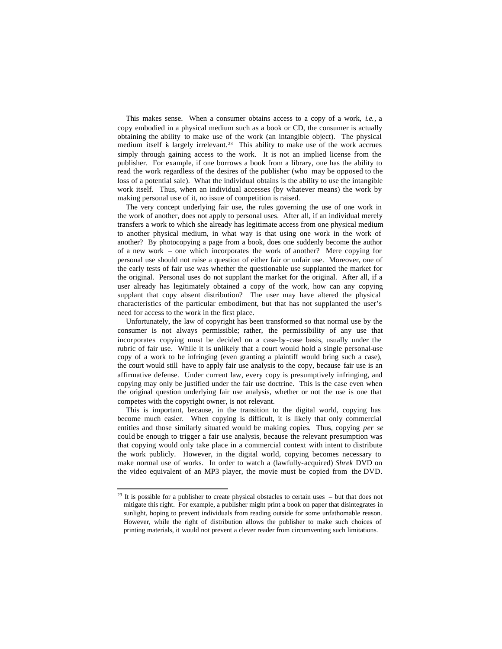This makes sense. When a consumer obtains access to a copy of a work, *i.e.*, a copy embodied in a physical medium such as a book or CD, the consumer is actually obtaining the ability to make use of the work (an intangible object). The physical medium itself is largely irrelevant.<sup>23</sup> This ability to make use of the work accrues simply through gaining access to the work. It is not an implied license from the publisher. For example, if one borrows a book from a library, one has the ability to read the work regardless of the desires of the publisher (who may be opposed to the loss of a potential sale). What the individual obtains is the ability to use the intangible work itself. Thus, when an individual accesses (by whatever means) the work by making personal use of it, no issue of competition is raised.

The very concept underlying fair use, the rules governing the use of one work in the work of another, does not apply to personal uses. After all, if an individual merely transfers a work to which she already has legitimate access from one physical medium to another physical medium, in what way is that using one work in the work of another? By photocopying a page from a book, does one suddenly become the author of a new work – one which incorporates the work of another? Mere copying for personal use should not raise a question of either fair or unfair use. Moreover, one of the early tests of fair use was whether the questionable use supplanted the market for the original. Personal uses do not supplant the market for the original. After all, if a user already has legitimately obtained a copy of the work, how can any copying supplant that copy absent distribution? The user may have altered the physical characteristics of the particular embodiment, but that has not supplanted the user's need for access to the work in the first place.

Unfortunately, the law of copyright has been transformed so that normal use by the consumer is not always permissible; rather, the permissibility of any use that incorporates copying must be decided on a case-by-case basis, usually under the rubric of fair use. While it is unlikely that a court would hold a single personal-use copy of a work to be infringing (even granting a plaintiff would bring such a case), the court would still have to apply fair use analysis to the copy, because fair use is an affirmative defense. Under current law, every copy is presumptively infringing, and copying may only be justified under the fair use doctrine. This is the case even when the original question underlying fair use analysis, whether or not the use is one that competes with the copyright owner, is not relevant.

This is important, because, in the transition to the digital world, copying has become much easier. When copying is difficult, it is likely that only commercial entities and those similarly situat ed would be making copies. Thus, copying *per se* could be enough to trigger a fair use analysis, because the relevant presumption was that copying would only take place in a commercial context with intent to distribute the work publicly. However, in the digital world, copying becomes necessary to make normal use of works. In order to watch a (lawfully-acquired) *Shrek* DVD on the video equivalent of an MP3 player, the movie must be copied from the DVD.

 $23$  It is possible for a publisher to create physical obstacles to certain uses – but that does not mitigate this right. For example, a publisher might print a book on paper that disintegrates in sunlight, hoping to prevent individuals from reading outside for some unfathomable reason. However, while the right of distribution allows the publisher to make such choices of printing materials, it would not prevent a clever reader from circumventing such limitations.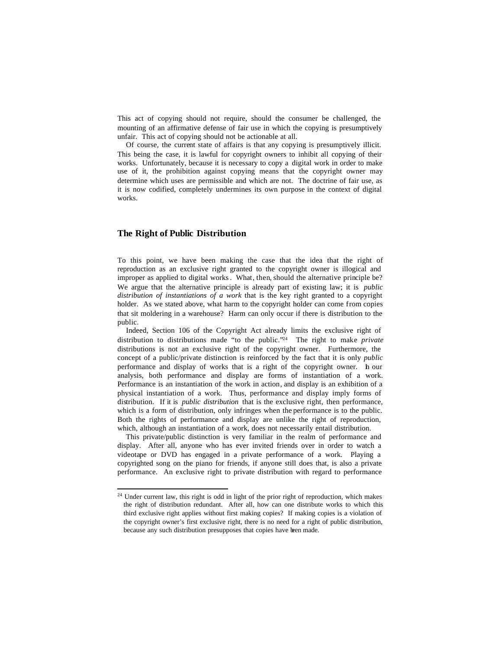This act of copying should not require, should the consumer be challenged, the mounting of an affirmative defense of fair use in which the copying is presumptively unfair. This act of copying should not be actionable at all.

Of course, the current state of affairs is that any copying is presumptively illicit. This being the case, it is lawful for copyright owners to inhibit all copying of their works. Unfortunately, because it is necessary to copy a digital work in order to make use of it, the prohibition against copying means that the copyright owner may determine which uses are permissible and which are not. The doctrine of fair use, as it is now codified, completely undermines its own purpose in the context of digital works.

### **The Right of Public Distribution**

l

To this point, we have been making the case that the idea that the right of reproduction as an exclusive right granted to the copyright owner is illogical and improper as applied to digital works. What, then, should the alternative principle be? We argue that the alternative principle is already part of existing law; it is *public distribution of instantiations of a work* that is the key right granted to a copyright holder. As we stated above, what harm to the copyright holder can come from copies that sit moldering in a warehouse? Harm can only occur if there is distribution to the public.

Indeed, Section 106 of the Copyright Act already limits the exclusive right of distribution to distributions made "to the public."24 The right to make *private* distributions is not an exclusive right of the copyright owner. Furthermore, the concept of a public/private distinction is reinforced by the fact that it is only *public*  performance and display of works that is a right of the copyright owner. In our analysis, both performance and display are forms of instantiation of a work. Performance is an instantiation of the work in action, and display is an exhibition of a physical instantiation of a work. Thus, performance and display imply forms of distribution. If it is *public distribution* that is the exclusive right, then performance, which is a form of distribution, only infringes when the performance is to the public. Both the rights of performance and display are unlike the right of reproduction, which, although an instantiation of a work, does not necessarily entail distribution.

This private/public distinction is very familiar in the realm of performance and display. After all, anyone who has ever invited friends over in order to watch a videotape or DVD has engaged in a private performance of a work. Playing a copyrighted song on the piano for friends, if anyone still does that, is also a private performance. An exclusive right to private distribution with regard to performance

<sup>&</sup>lt;sup>24</sup> Under current law, this right is odd in light of the prior right of reproduction, which makes the right of distribution redundant. After all, how can one distribute works to which this third exclusive right applies without first making copies? If making copies is a violation of the copyright owner's first exclusive right, there is no need for a right of public distribution, because any such distribution presupposes that copies have been made.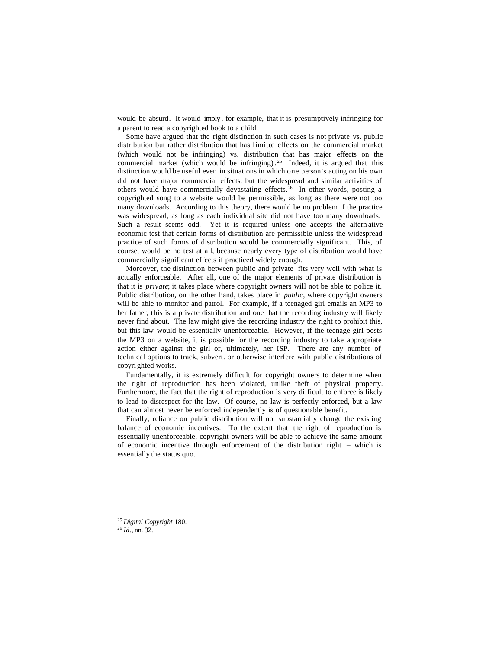would be absurd. It would imply, for example, that it is presumptively infringing for a parent to read a copyrighted book to a child.

Some have argued that the right distinction in such cases is not private vs. public distribution but rather distribution that has limited effects on the commercial market (which would not be infringing) vs. distribution that has major effects on the commercial market (which would be infringing).<sup>25</sup> Indeed, it is argued that this distinction would be useful even in situations in which one person's acting on his own did not have major commercial effects, but the widespread and similar activities of others would have commercially devastating effects.<sup>26</sup> In other words, posting a copyrighted song to a website would be permissible, as long as there were not too many downloads. According to this theory, there would be no problem if the practice was widespread, as long as each individual site did not have too many downloads. Such a result seems odd. Yet it is required unless one accepts the altern ative economic test that certain forms of distribution are permissible unless the widespread practice of such forms of distribution would be commercially significant. This, of course, would be no test at all, because nearly every type of distribution would have commercially significant effects if practiced widely enough.

Moreover, the distinction between public and private fits very well with what is actually enforceable. After all, one of the major elements of private distribution is that it is *private*; it takes place where copyright owners will not be able to police it. Public distribution, on the other hand, takes place in *public*, where copyright owners will be able to monitor and patrol. For example, if a teenaged girl emails an MP3 to her father, this is a private distribution and one that the recording industry will likely never find about. The law might give the recording industry the right to prohibit this, but this law would be essentially unenforceable. However, if the teenage girl posts the MP3 on a website, it is possible for the recording industry to take appropriate action either against the girl or, ultimately, her ISP. There are any number of technical options to track, subvert, or otherwise interfere with public distributions of copyri ghted works.

Fundamentally, it is extremely difficult for copyright owners to determine when the right of reproduction has been violated, unlike theft of physical property. Furthermore, the fact that the right of reproduction is very difficult to enforce is likely to lead to disrespect for the law. Of course, no law is perfectly enforced, but a law that can almost never be enforced independently is of questionable benefit.

Finally, reliance on public distribution will not substantially change the existing balance of economic incentives. To the extent that the right of reproduction is essentially unenforceable, copyright owners will be able to achieve the same amount of economic incentive through enforcement of the distribution right – which is essentially the status quo.

<sup>25</sup> *Digital Copyright* 180.

<sup>26</sup> *Id.,* nn. 32.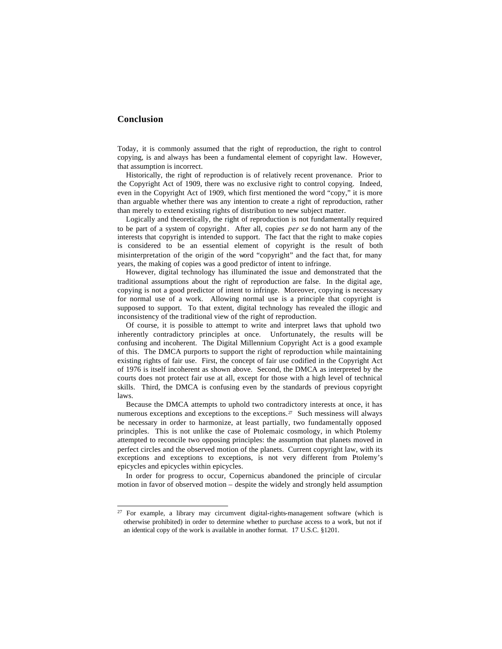## **Conclusion**

l

Today, it is commonly assumed that the right of reproduction, the right to control copying, is and always has been a fundamental element of copyright law. However, that assumption is incorrect.

Historically, the right of reproduction is of relatively recent provenance. Prior to the Copyright Act of 1909, there was no exclusive right to control copying. Indeed, even in the Copyright Act of 1909, which first mentioned the word "copy," it is more than arguable whether there was any intention to create a right of reproduction, rather than merely to extend existing rights of distribution to new subject matter.

Logically and theoretically, the right of reproduction is not fundamentally required to be part of a system of copyright . After all, copies *per se* do not harm any of the interests that copyright is intended to support. The fact that the right to make copies is considered to be an essential element of copyright is the result of both misinterpretation of the origin of the word "copyright" and the fact that, for many years, the making of copies was a good predictor of intent to infringe.

However, digital technology has illuminated the issue and demonstrated that the traditional assumptions about the right of reproduction are false. In the digital age, copying is not a good predictor of intent to infringe. Moreover, copying is necessary for normal use of a work. Allowing normal use is a principle that copyright is supposed to support. To that extent, digital technology has revealed the illogic and inconsistency of the traditional view of the right of reproduction.

Of course, it is possible to attempt to write and interpret laws that uphold two inherently contradictory principles at once. Unfortunately, the results will be confusing and incoherent. The Digital Millennium Copyright Act is a good example of this. The DMCA purports to support the right of reproduction while maintaining existing rights of fair use. First, the concept of fair use codified in the Copyright Act of 1976 is itself incoherent as shown above. Second, the DMCA as interpreted by the courts does not protect fair use at all, except for those with a high level of technical skills. Third, the DMCA is confusing even by the standards of previous copyright laws.

Because the DMCA attempts to uphold two contradictory interests at once, it has numerous exceptions and exceptions to the exceptions.<sup> $27$ </sup> Such messiness will always be necessary in order to harmonize, at least partially, two fundamentally opposed principles. This is not unlike the case of Ptolemaic cosmology, in which Ptolemy attempted to reconcile two opposing principles: the assumption that planets moved in perfect circles and the observed motion of the planets. Current copyright law, with its exceptions and exceptions to exceptions, is not very different from Ptolemy's epicycles and epicycles within epicycles.

In order for progress to occur, Copernicus abandoned the principle of circular motion in favor of observed motion – despite the widely and strongly held assumption

 $27$  For example, a library may circumvent digital-rights-management software (which is otherwise prohibited) in order to determine whether to purchase access to a work, but not if an identical copy of the work is available in another format. 17 U.S.C. §1201.